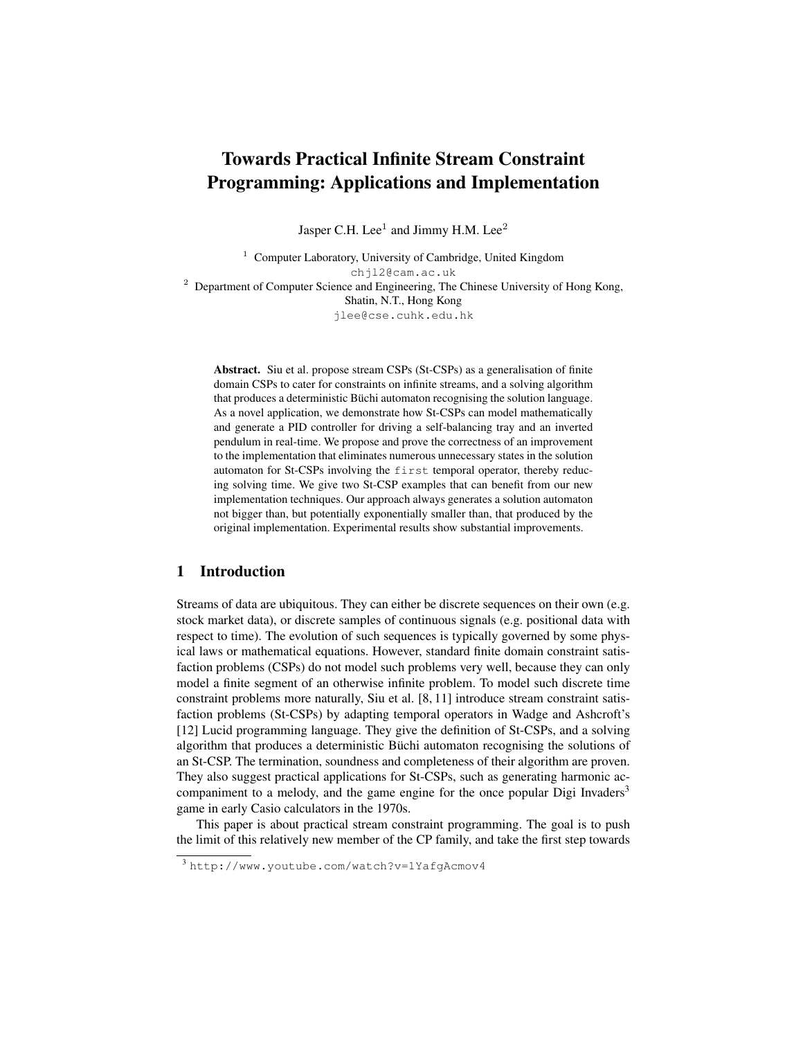# Towards Practical Infinite Stream Constraint Programming: Applications and Implementation

Jasper C.H. Lee $^1$  and Jimmy H.M. Lee $^2$ 

 $1$  Computer Laboratory, University of Cambridge, United Kingdom chjl2@cam.ac.uk <sup>2</sup> Department of Computer Science and Engineering, The Chinese University of Hong Kong, Shatin, N.T., Hong Kong jlee@cse.cuhk.edu.hk

Abstract. Siu et al. propose stream CSPs (St-CSPs) as a generalisation of finite domain CSPs to cater for constraints on infinite streams, and a solving algorithm that produces a deterministic Büchi automaton recognising the solution language. As a novel application, we demonstrate how St-CSPs can model mathematically and generate a PID controller for driving a self-balancing tray and an inverted pendulum in real-time. We propose and prove the correctness of an improvement to the implementation that eliminates numerous unnecessary states in the solution automaton for St-CSPs involving the first temporal operator, thereby reducing solving time. We give two St-CSP examples that can benefit from our new implementation techniques. Our approach always generates a solution automaton not bigger than, but potentially exponentially smaller than, that produced by the original implementation. Experimental results show substantial improvements.

## 1 Introduction

Streams of data are ubiquitous. They can either be discrete sequences on their own (e.g. stock market data), or discrete samples of continuous signals (e.g. positional data with respect to time). The evolution of such sequences is typically governed by some physical laws or mathematical equations. However, standard finite domain constraint satisfaction problems (CSPs) do not model such problems very well, because they can only model a finite segment of an otherwise infinite problem. To model such discrete time constraint problems more naturally, Siu et al. [8, 11] introduce stream constraint satisfaction problems (St-CSPs) by adapting temporal operators in Wadge and Ashcroft's [12] Lucid programming language. They give the definition of St-CSPs, and a solving algorithm that produces a deterministic Büchi automaton recognising the solutions of an St-CSP. The termination, soundness and completeness of their algorithm are proven. They also suggest practical applications for St-CSPs, such as generating harmonic accompaniment to a melody, and the game engine for the once popular Digi Invaders<sup>3</sup> game in early Casio calculators in the 1970s.

This paper is about practical stream constraint programming. The goal is to push the limit of this relatively new member of the CP family, and take the first step towards

<sup>3</sup> http://www.youtube.com/watch?v=1YafgAcmov4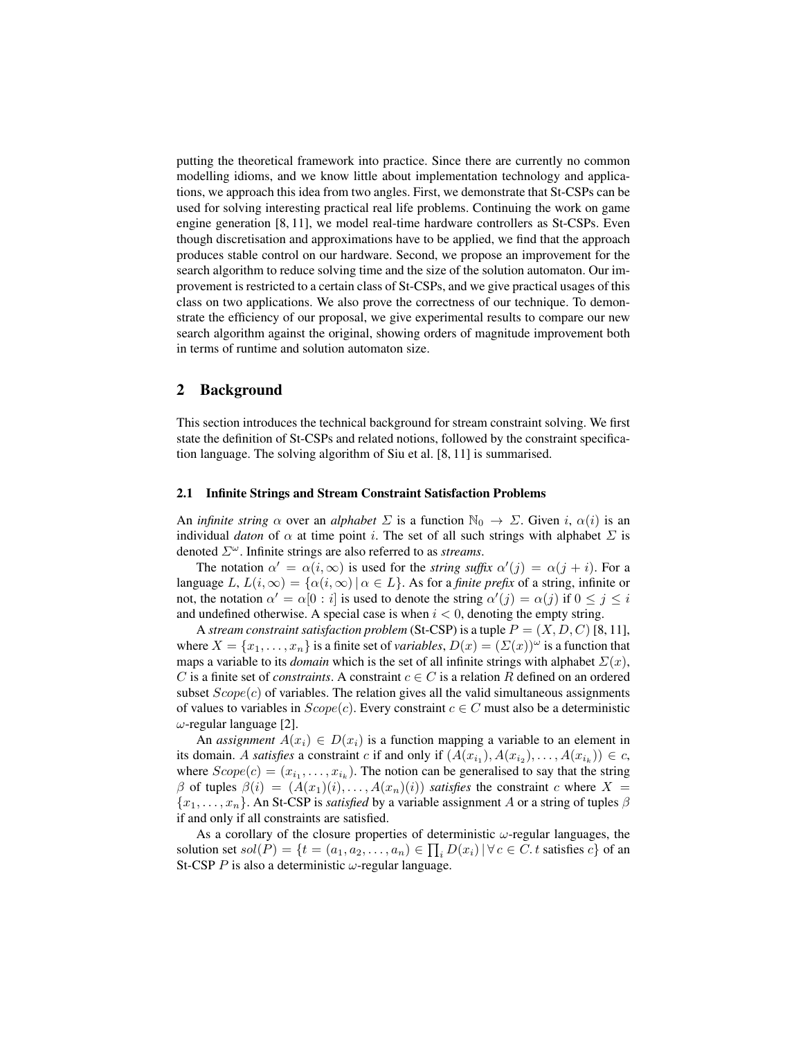putting the theoretical framework into practice. Since there are currently no common modelling idioms, and we know little about implementation technology and applications, we approach this idea from two angles. First, we demonstrate that St-CSPs can be used for solving interesting practical real life problems. Continuing the work on game engine generation [8, 11], we model real-time hardware controllers as St-CSPs. Even though discretisation and approximations have to be applied, we find that the approach produces stable control on our hardware. Second, we propose an improvement for the search algorithm to reduce solving time and the size of the solution automaton. Our improvement is restricted to a certain class of St-CSPs, and we give practical usages of this class on two applications. We also prove the correctness of our technique. To demonstrate the efficiency of our proposal, we give experimental results to compare our new search algorithm against the original, showing orders of magnitude improvement both in terms of runtime and solution automaton size.

## 2 Background

This section introduces the technical background for stream constraint solving. We first state the definition of St-CSPs and related notions, followed by the constraint specification language. The solving algorithm of Siu et al. [8, 11] is summarised.

#### 2.1 Infinite Strings and Stream Constraint Satisfaction Problems

An *infinite string*  $\alpha$  over an *alphabet*  $\Sigma$  is a function  $\mathbb{N}_0 \to \Sigma$ . Given i,  $\alpha(i)$  is an individual *daton* of  $\alpha$  at time point *i*. The set of all such strings with alphabet  $\Sigma$  is denoted Σ<sup>ω</sup>. Infinite strings are also referred to as *streams*.

The notation  $\alpha' = \alpha(i,\infty)$  is used for the *string suffix*  $\alpha'(j) = \alpha(j+i)$ . For a language  $L, L(i, \infty) = {\alpha(i, \infty) | \alpha \in L}$ . As for a *finite prefix* of a string, infinite or not, the notation  $\alpha' = \alpha[0 : i]$  is used to denote the string  $\alpha'(j) = \alpha(j)$  if  $0 \le j \le i$ and undefined otherwise. A special case is when  $i < 0$ , denoting the empty string.

A *stream constraint satisfaction problem* (St-CSP) is a tuple  $P = (X, D, C)$  [8, 11], where  $X = \{x_1, \ldots, x_n\}$  is a finite set of *variables*,  $D(x) = (\Sigma(x))^{\omega}$  is a function that maps a variable to its *domain* which is the set of all infinite strings with alphabet  $\Sigma(x)$ , C is a finite set of *constraints*. A constraint  $c \in C$  is a relation R defined on an ordered subset  $Scope(c)$  of variables. The relation gives all the valid simultaneous assignments of values to variables in  $Scope(c)$ . Every constraint  $c \in C$  must also be a deterministic  $\omega$ -regular language [2].

An *assignment*  $A(x_i) \in D(x_i)$  is a function mapping a variable to an element in its domain. A *satisfies* a constraint c if and only if  $(A(x_{i_1}), A(x_{i_2}), \ldots, A(x_{i_k})) \in c$ , where  $Scope(c) = (x_{i_1}, \ldots, x_{i_k})$ . The notion can be generalised to say that the string  $\beta$  of tuples  $\beta(i) = (A(x_1)(i), \ldots, A(x_n)(i))$  *satisfies* the constraint c where  $X =$  ${x_1, \ldots, x_n}$ . An St-CSP is *satisfied* by a variable assignment A or a string of tuples  $\beta$ if and only if all constraints are satisfied.

As a corollary of the closure properties of deterministic  $\omega$ -regular languages, the solution set  $\mathit{sol}(P) = \{t = (a_1, a_2, \ldots, a_n) \in \prod_i D(x_i) \, | \, \forall \, c \in C.\, t \text{ satisfies } c\} \text{ of an }$ St-CSP P is also a deterministic  $\omega$ -regular language.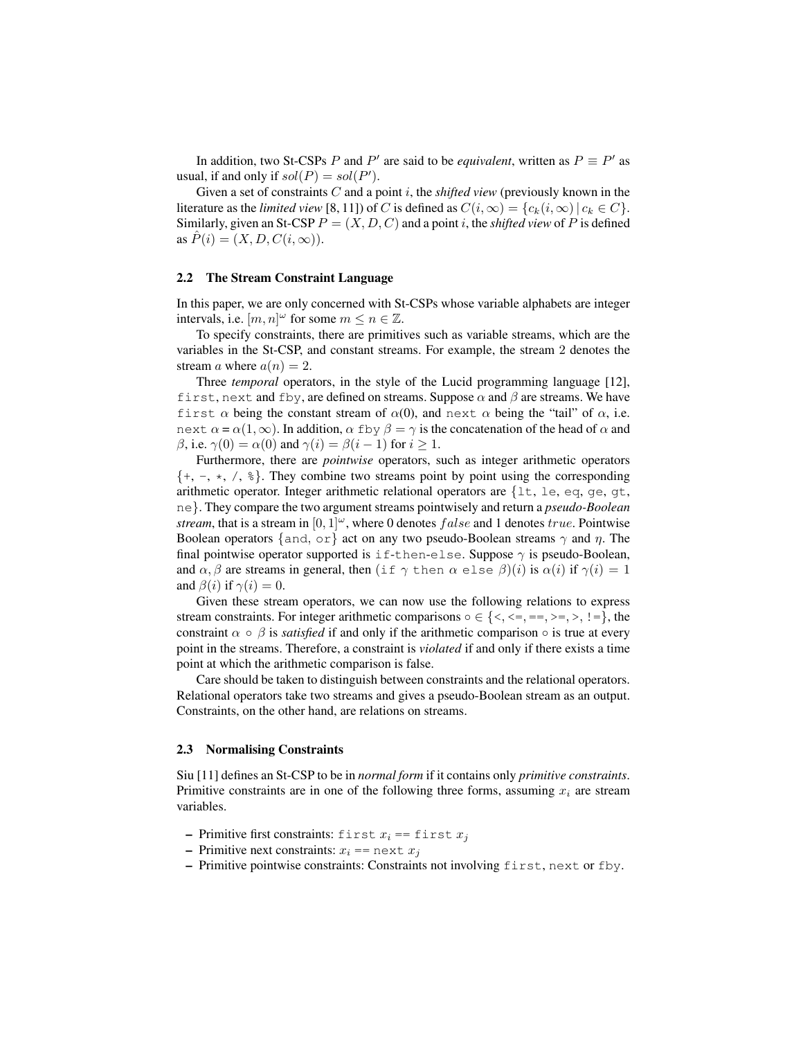In addition, two St-CSPs P and P' are said to be *equivalent*, written as  $P \equiv P'$  as usual, if and only if  $sol(P) = sol(P')$ .

Given a set of constraints C and a point i, the *shifted view* (previously known in the literature as the *limited view* [8, 11]) of C is defined as  $C(i,\infty) = \{c_k(i,\infty) | c_k \in C\}$ . Similarly, given an St-CSP  $P = (X, D, C)$  and a point i, the *shifted view* of P is defined as  $\hat{P}(i) = (X, D, C(i, \infty)).$ 

#### 2.2 The Stream Constraint Language

In this paper, we are only concerned with St-CSPs whose variable alphabets are integer intervals, i.e.  $[m, n]^{\omega}$  for some  $m \leq n \in \mathbb{Z}$ .

To specify constraints, there are primitives such as variable streams, which are the variables in the St-CSP, and constant streams. For example, the stream 2 denotes the stream a where  $a(n) = 2$ .

Three *temporal* operators, in the style of the Lucid programming language [12], first, next and fby, are defined on streams. Suppose  $\alpha$  and  $\beta$  are streams. We have first  $\alpha$  being the constant stream of  $\alpha(0)$ , and next  $\alpha$  being the "tail" of  $\alpha$ , i.e. next  $\alpha = \alpha(1, \infty)$ . In addition,  $\alpha$  fby  $\beta = \gamma$  is the concatenation of the head of  $\alpha$  and  $\beta$ , i.e.  $\gamma(0) = \alpha(0)$  and  $\gamma(i) = \beta(i-1)$  for  $i \ge 1$ .

Furthermore, there are *pointwise* operators, such as integer arithmetic operators  $\{+, -, *, /, %\}$ . They combine two streams point by point using the corresponding arithmetic operator. Integer arithmetic relational operators are {lt, le, eq, ge, gt, ne}. They compare the two argument streams pointwisely and return a *pseudo-Boolean stream*, that is a stream in  $[0, 1]^\omega$ , where 0 denotes false and 1 denotes true. Pointwise Boolean operators {and, or} act on any two pseudo-Boolean streams  $\gamma$  and  $\eta$ . The final pointwise operator supported is if-then-else. Suppose  $\gamma$  is pseudo-Boolean, and  $\alpha, \beta$  are streams in general, then (if  $\gamma$  then  $\alpha$  else  $\beta$ )(i) is  $\alpha$ (i) if  $\gamma$ (i) = 1 and  $\beta(i)$  if  $\gamma(i) = 0$ .

Given these stream operators, we can now use the following relations to express stream constraints. For integer arithmetic comparisons  $\circ \in \{ \langle \langle \langle \langle =, \rangle = \rangle \rangle, \langle = \rangle \}$ , the constraint  $\alpha \circ \beta$  is *satisfied* if and only if the arithmetic comparison  $\circ$  is true at every point in the streams. Therefore, a constraint is *violated* if and only if there exists a time point at which the arithmetic comparison is false.

Care should be taken to distinguish between constraints and the relational operators. Relational operators take two streams and gives a pseudo-Boolean stream as an output. Constraints, on the other hand, are relations on streams.

#### 2.3 Normalising Constraints

Siu [11] defines an St-CSP to be in *normal form* if it contains only *primitive constraints*. Primitive constraints are in one of the following three forms, assuming  $x_i$  are stream variables.

- Primitive first constraints: first  $x_i$  == first  $x_i$
- Primitive next constraints:  $x_i$  == next  $x_i$
- Primitive pointwise constraints: Constraints not involving first, next or fby.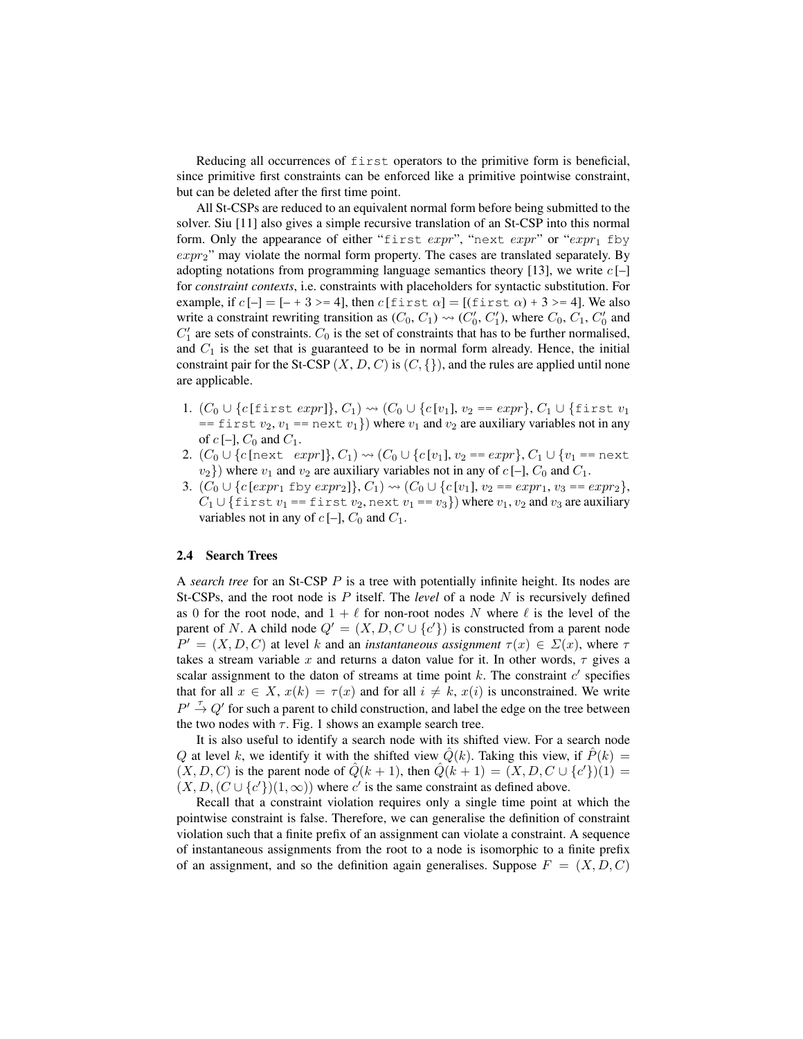Reducing all occurrences of first operators to the primitive form is beneficial, since primitive first constraints can be enforced like a primitive pointwise constraint, but can be deleted after the first time point.

All St-CSPs are reduced to an equivalent normal form before being submitted to the solver. Siu [11] also gives a simple recursive translation of an St-CSP into this normal form. Only the appearance of either "first  $expr$ ", "next  $expr$ " or " $expr_1$  fby  $\exp r_2$ " may violate the normal form property. The cases are translated separately. By adopting notations from programming language semantics theory [13], we write  $c$  [-] for *constraint contexts*, i.e. constraints with placeholders for syntactic substitution. For example, if  $c[-] = [- + 3 \gt 4]$ , then  $c$  [first  $\alpha$ ] = [(first  $\alpha$ ) + 3 > = 4]. We also write a constraint rewriting transition as  $(C_0, C_1) \rightsquigarrow (C'_0, C'_1)$ , where  $C_0, C_1, C'_0$  and  $C'_1$  are sets of constraints.  $C_0$  is the set of constraints that has to be further normalised, and  $C_1$  is the set that is guaranteed to be in normal form already. Hence, the initial constraint pair for the St-CSP  $(X, D, C)$  is  $(C, \{\})$ , and the rules are applied until none are applicable.

- 1.  $(C_0 \cup \{c \text{[first expr]}\}, C_1) \rightsquigarrow (C_0 \cup \{c[v_1], v_2 = expr\}, C_1 \cup \{first v_1\})$ == first  $v_2$ ,  $v_1$  == next  $v_1$ }) where  $v_1$  and  $v_2$  are auxiliary variables not in any of  $c$  [–],  $C_0$  and  $C_1$ .
- 2.  $(C_0 \cup \{c \text{ [next } expr] \}, C_1) \rightsquigarrow (C_0 \cup \{c \, [v_1], v_2 = expr \}, C_1 \cup \{v_1 = \text{next} \})$  $\{v_2\}$ ) where  $v_1$  and  $v_2$  are auxiliary variables not in any of  $c$  [-],  $C_0$  and  $C_1$ .
- 3.  $(C_0 \cup \{c \, [expr_1 \, fby \, expr_2] \}, C_1) \rightsquigarrow (C_0 \cup \{c \, [v_1], v_2 == expr_1, v_3 == expr_2\},$  $C_1 \cup \{\text{first } v_1 = \text{first } v_2, \text{next } v_1 = v_3\})$  where  $v_1, v_2$  and  $v_3$  are auxiliary variables not in any of  $c$  [–],  $C_0$  and  $C_1$ .

#### 2.4 Search Trees

A *search tree* for an St-CSP P is a tree with potentially infinite height. Its nodes are St-CSPs, and the root node is P itself. The *level* of a node N is recursively defined as 0 for the root node, and  $1 + \ell$  for non-root nodes N where  $\ell$  is the level of the parent of N. A child node  $Q' = (X, D, C \cup \{c'\})$  is constructed from a parent node  $P' = (X, D, C)$  at level k and an *instantaneous assignment*  $\tau(x) \in \Sigma(x)$ , where  $\tau$ takes a stream variable x and returns a daton value for it. In other words,  $\tau$  gives a scalar assignment to the daton of streams at time point  $k$ . The constraint  $c'$  specifies that for all  $x \in X$ ,  $x(k) = \tau(x)$  and for all  $i \neq k$ ,  $x(i)$  is unconstrained. We write  $P' \stackrel{\tau}{\rightarrow} Q'$  for such a parent to child construction, and label the edge on the tree between the two nodes with  $\tau$ . Fig. 1 shows an example search tree.

It is also useful to identify a search node with its shifted view. For a search node Q at level k, we identify it with the shifted view  $\hat{Q}(k)$ . Taking this view, if  $\hat{P}(k) =$  $(X, D, C)$  is the parent node of  $\hat{Q}(k+1)$ , then  $\hat{Q}(k+1) = (X, D, C \cup \{c'\})(1) =$  $(X, D, (C \cup \{c'\})(1, \infty))$  where c' is the same constraint as defined above.

Recall that a constraint violation requires only a single time point at which the pointwise constraint is false. Therefore, we can generalise the definition of constraint violation such that a finite prefix of an assignment can violate a constraint. A sequence of instantaneous assignments from the root to a node is isomorphic to a finite prefix of an assignment, and so the definition again generalises. Suppose  $F = (X, D, C)$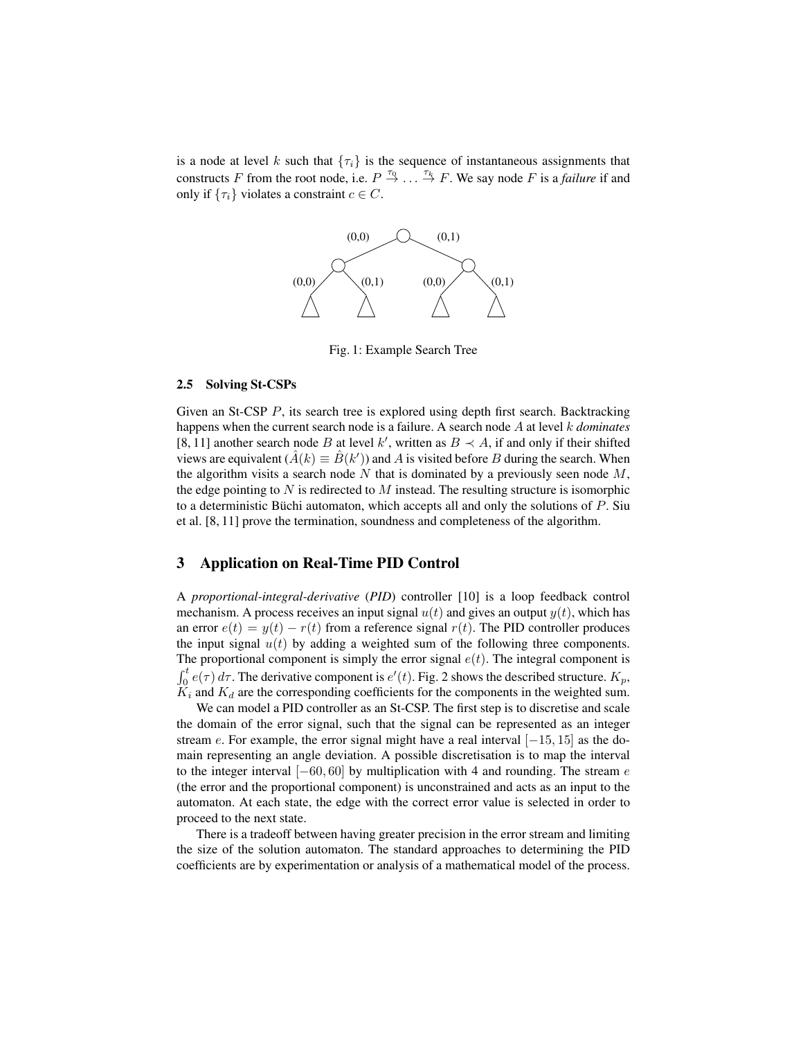is a node at level k such that  $\{\tau_i\}$  is the sequence of instantaneous assignments that constructs F from the root node, i.e.  $P \stackrel{\tau_0}{\rightarrow} \dots \stackrel{\tau_k}{\rightarrow} F$ . We say node F is a *failure* if and only if  $\{\tau_i\}$  violates a constraint  $c \in C$ .



Fig. 1: Example Search Tree

#### 2.5 Solving St-CSPs

Given an St-CSP P, its search tree is explored using depth first search. Backtracking happens when the current search node is a failure. A search node A at level k *dominates* [8, 11] another search node B at level k', written as  $B \prec A$ , if and only if their shifted views are equivalent ( $\hat{A}(k) \equiv \hat{B}(k')$ ) and A is visited before B during the search. When the algorithm visits a search node N that is dominated by a previously seen node  $M$ , the edge pointing to  $N$  is redirected to  $M$  instead. The resulting structure is isomorphic to a deterministic Büchi automaton, which accepts all and only the solutions of  $P$ . Siu et al. [8, 11] prove the termination, soundness and completeness of the algorithm.

## 3 Application on Real-Time PID Control

A *proportional-integral-derivative* (*PID*) controller [10] is a loop feedback control mechanism. A process receives an input signal  $u(t)$  and gives an output  $y(t)$ , which has an error  $e(t) = y(t) - r(t)$  from a reference signal  $r(t)$ . The PID controller produces the input signal  $u(t)$  by adding a weighted sum of the following three components. The proportional component is simply the error signal  $e(t)$ . The integral component is  $\int_0^t e(\tau) d\tau$ . The derivative component is  $e'(t)$ . Fig. 2 shows the described structure.  $K_p$ ,  $K_i$  and  $K_d$  are the corresponding coefficients for the components in the weighted sum.

We can model a PID controller as an St-CSP. The first step is to discretise and scale the domain of the error signal, such that the signal can be represented as an integer stream e. For example, the error signal might have a real interval  $[-15, 15]$  as the domain representing an angle deviation. A possible discretisation is to map the interval to the integer interval  $[-60, 60]$  by multiplication with 4 and rounding. The stream e (the error and the proportional component) is unconstrained and acts as an input to the automaton. At each state, the edge with the correct error value is selected in order to proceed to the next state.

There is a tradeoff between having greater precision in the error stream and limiting the size of the solution automaton. The standard approaches to determining the PID coefficients are by experimentation or analysis of a mathematical model of the process.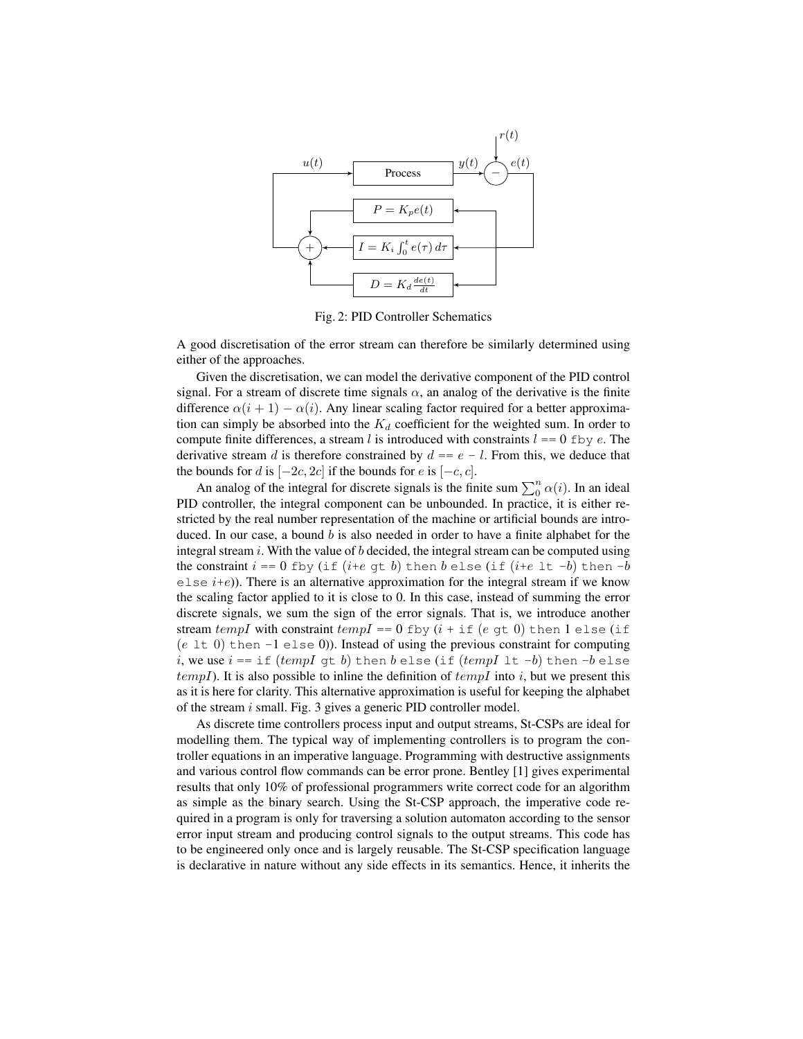

Fig. 2: PID Controller Schematics

A good discretisation of the error stream can therefore be similarly determined using either of the approaches.

Given the discretisation, we can model the derivative component of the PID control signal. For a stream of discrete time signals  $\alpha$ , an analog of the derivative is the finite difference  $\alpha(i + 1) - \alpha(i)$ . Any linear scaling factor required for a better approximation can simply be absorbed into the  $K_d$  coefficient for the weighted sum. In order to compute finite differences, a stream l is introduced with constraints  $l = 0$  fby e. The derivative stream d is therefore constrained by  $d = e - l$ . From this, we deduce that the bounds for d is  $[-2c, 2c]$  if the bounds for e is  $[-c, c]$ .

An analog of the integral for discrete signals is the finite sum  $\sum_0^n \alpha(i)$ . In an ideal PID controller, the integral component can be unbounded. In practice, it is either restricted by the real number representation of the machine or artificial bounds are introduced. In our case, a bound  $b$  is also needed in order to have a finite alphabet for the integral stream i. With the value of b decided, the integral stream can be computed using the constraint  $i = 0$  fby (if (i+e gt b) then b else (if (i+e lt -b) then -b else  $i+e$ )). There is an alternative approximation for the integral stream if we know the scaling factor applied to it is close to 0. In this case, instead of summing the error discrete signals, we sum the sign of the error signals. That is, we introduce another stream tempI with constraint tempI == 0 fby  $(i + if (e \notin 0))$  then 1 else (if  $(e \lt t 0)$  then  $-1$  else 0)). Instead of using the previous constraint for computing i, we use  $i ==$  if  $tempI$  qt b) then b else (if  $tempI$  lt -b) then -b else tempI). It is also possible to inline the definition of  $tempI$  into i, but we present this as it is here for clarity. This alternative approximation is useful for keeping the alphabet of the stream i small. Fig. 3 gives a generic PID controller model.

As discrete time controllers process input and output streams, St-CSPs are ideal for modelling them. The typical way of implementing controllers is to program the controller equations in an imperative language. Programming with destructive assignments and various control flow commands can be error prone. Bentley [1] gives experimental results that only 10% of professional programmers write correct code for an algorithm as simple as the binary search. Using the St-CSP approach, the imperative code required in a program is only for traversing a solution automaton according to the sensor error input stream and producing control signals to the output streams. This code has to be engineered only once and is largely reusable. The St-CSP specification language is declarative in nature without any side effects in its semantics. Hence, it inherits the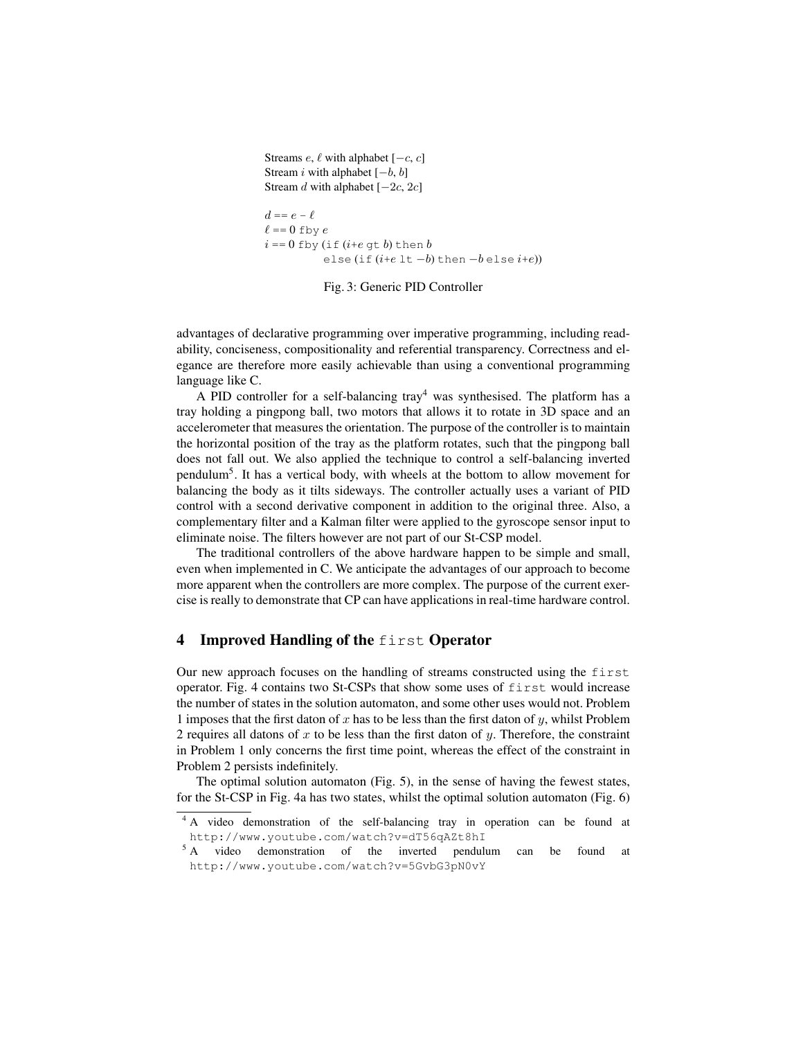Streams  $e, \ell$  with alphabet [ $-c, c$ ] Stream *i* with alphabet  $[-b, b]$ Stream d with alphabet  $[-2c, 2c]$ 

```
d == e - \ell\ell = 0 fby ei == 0 fby (if (i+e gt b) then b
else (if (i+e lt -b) then -b else i+e))
```
Fig. 3: Generic PID Controller

advantages of declarative programming over imperative programming, including readability, conciseness, compositionality and referential transparency. Correctness and elegance are therefore more easily achievable than using a conventional programming language like C.

A PID controller for a self-balancing tray<sup>4</sup> was synthesised. The platform has a tray holding a pingpong ball, two motors that allows it to rotate in 3D space and an accelerometer that measures the orientation. The purpose of the controller is to maintain the horizontal position of the tray as the platform rotates, such that the pingpong ball does not fall out. We also applied the technique to control a self-balancing inverted pendulum<sup>5</sup> . It has a vertical body, with wheels at the bottom to allow movement for balancing the body as it tilts sideways. The controller actually uses a variant of PID control with a second derivative component in addition to the original three. Also, a complementary filter and a Kalman filter were applied to the gyroscope sensor input to eliminate noise. The filters however are not part of our St-CSP model.

The traditional controllers of the above hardware happen to be simple and small, even when implemented in C. We anticipate the advantages of our approach to become more apparent when the controllers are more complex. The purpose of the current exercise is really to demonstrate that CP can have applications in real-time hardware control.

## 4 Improved Handling of the first Operator

Our new approach focuses on the handling of streams constructed using the first operator. Fig. 4 contains two St-CSPs that show some uses of first would increase the number of states in the solution automaton, and some other uses would not. Problem 1 imposes that the first daton of x has to be less than the first daton of y, whilst Problem 2 requires all datons of  $x$  to be less than the first daton of  $y$ . Therefore, the constraint in Problem 1 only concerns the first time point, whereas the effect of the constraint in Problem 2 persists indefinitely.

The optimal solution automaton (Fig. 5), in the sense of having the fewest states, for the St-CSP in Fig. 4a has two states, whilst the optimal solution automaton (Fig. 6)

<sup>4</sup> A video demonstration of the self-balancing tray in operation can be found at http://www.youtube.com/watch?v=dT56qAZt8hI

<sup>&</sup>lt;sup>5</sup> A video demonstration of the inverted pendulum can be found at http://www.youtube.com/watch?v=5GvbG3pN0vY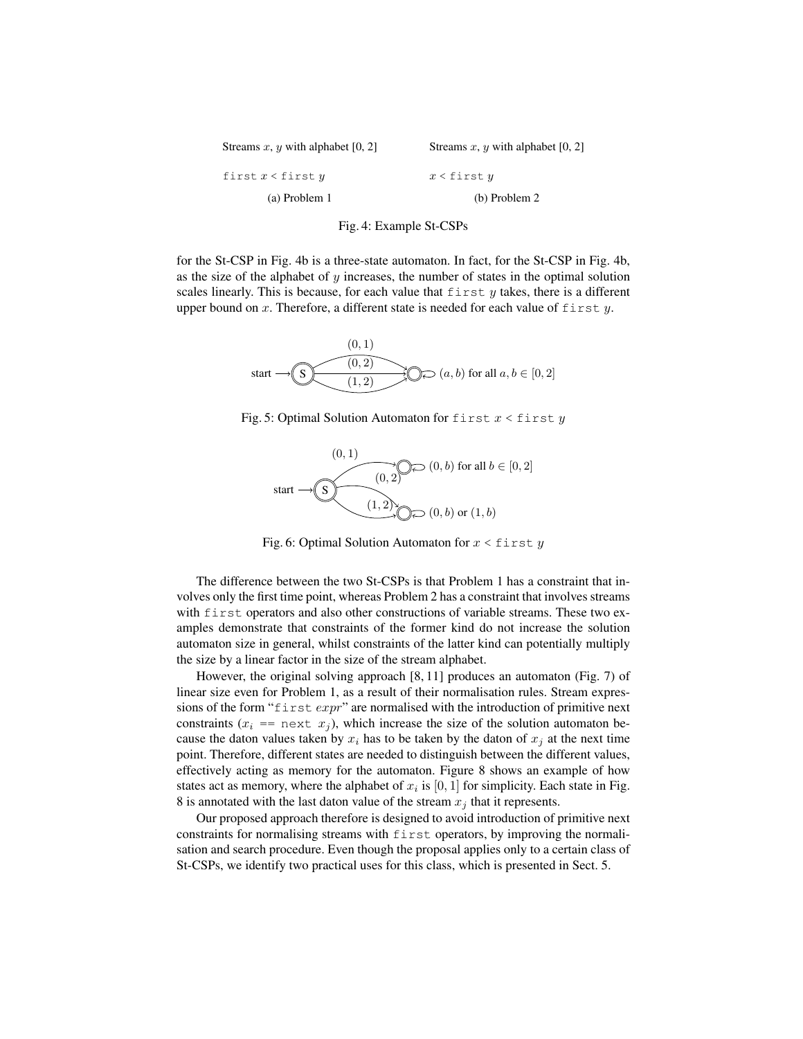| Streams x, y with alphabet [0, 2] | Streams x, y with alphabet [0, 2] |
|-----------------------------------|-----------------------------------|
| first $x <$ first $y$             | $x <$ first $y$                   |
| (a) Problem 1                     | $(b)$ Problem 2                   |

Fig. 4: Example St-CSPs

for the St-CSP in Fig. 4b is a three-state automaton. In fact, for the St-CSP in Fig. 4b, as the size of the alphabet of  $y$  increases, the number of states in the optimal solution scales linearly. This is because, for each value that  $first y$  takes, there is a different upper bound on x. Therefore, a different state is needed for each value of  $first y$ .



Fig. 5: Optimal Solution Automaton for first  $x <$  first  $y$ 



Fig. 6: Optimal Solution Automaton for  $x \leq f$  is rest y

The difference between the two St-CSPs is that Problem 1 has a constraint that involves only the first time point, whereas Problem 2 has a constraint that involves streams with first operators and also other constructions of variable streams. These two examples demonstrate that constraints of the former kind do not increase the solution automaton size in general, whilst constraints of the latter kind can potentially multiply the size by a linear factor in the size of the stream alphabet.

However, the original solving approach [8, 11] produces an automaton (Fig. 7) of linear size even for Problem 1, as a result of their normalisation rules. Stream expressions of the form " $first$   $expr$ " are normalised with the introduction of primitive next constraints  $(x_i == \text{next } x_i)$ , which increase the size of the solution automaton because the daton values taken by  $x_i$  has to be taken by the daton of  $x_i$  at the next time point. Therefore, different states are needed to distinguish between the different values, effectively acting as memory for the automaton. Figure 8 shows an example of how states act as memory, where the alphabet of  $x_i$  is  $[0, 1]$  for simplicity. Each state in Fig. 8 is annotated with the last daton value of the stream  $x_j$  that it represents.

Our proposed approach therefore is designed to avoid introduction of primitive next constraints for normalising streams with first operators, by improving the normalisation and search procedure. Even though the proposal applies only to a certain class of St-CSPs, we identify two practical uses for this class, which is presented in Sect. 5.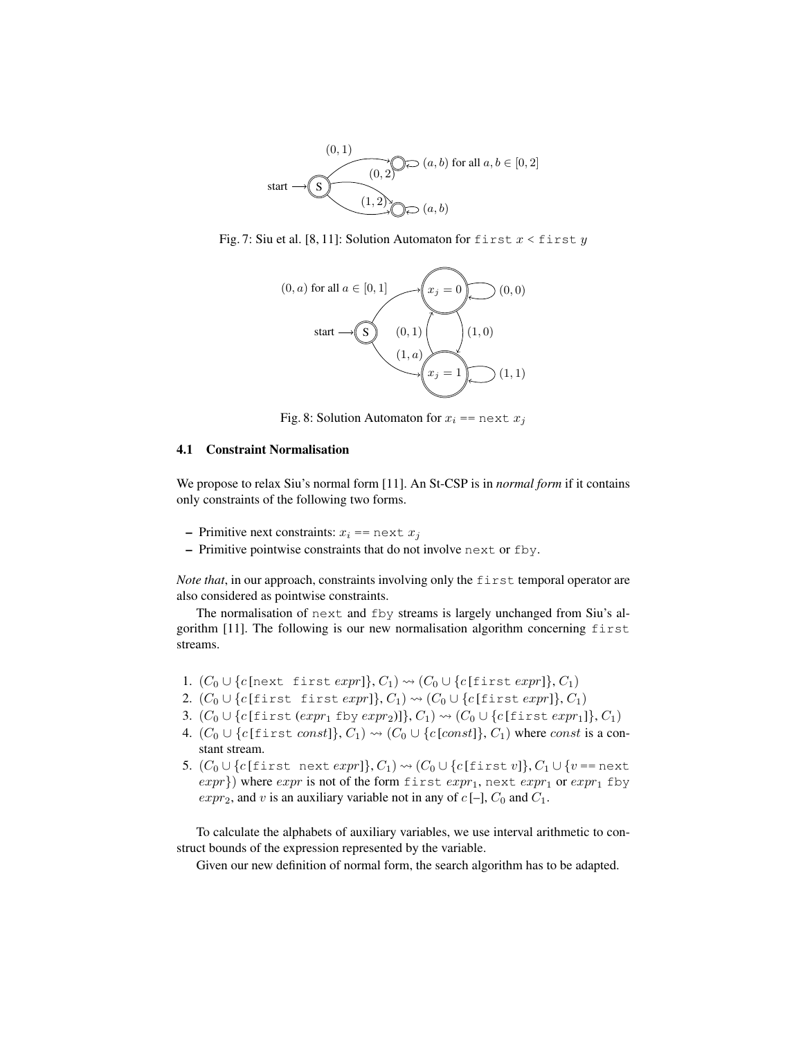

Fig. 7: Siu et al. [8, 11]: Solution Automaton for first  $x <$  first  $y$ 



Fig. 8: Solution Automaton for  $x_i$  == next  $x_j$ 

#### 4.1 Constraint Normalisation

We propose to relax Siu's normal form [11]. An St-CSP is in *normal form* if it contains only constraints of the following two forms.

- Primitive next constraints:  $x_i$  == next  $x_i$
- Primitive pointwise constraints that do not involve next or fby.

*Note that*, in our approach, constraints involving only the first temporal operator are also considered as pointwise constraints.

The normalisation of next and fby streams is largely unchanged from Siu's algorithm [11]. The following is our new normalisation algorithm concerning first streams.

- 1.  $(C_0 \cup \{c \text{[next first expr]}\}, C_1) \rightsquigarrow (C_0 \cup \{c \text{[first expr]}\}, C_1)$
- 2.  $(C_0 \cup \{c \text{[first first expr]}\}, C_1) \rightsquigarrow (C_0 \cup \{c \text{[first expr]}\}, C_1)$
- 3.  $(C_0 \cup \{c \text{[first } (expr_1 \text{ fby } expr_2)]\}, C_1) \rightsquigarrow (C_0 \cup \{c \text{[first } expr_1]\}, C_1)$
- 4.  $(C_0 \cup \{c \text{[first const]}\}, C_1) \rightsquigarrow (C_0 \cup \{c \text{[const]}\}, C_1)$  where const is a constant stream.
- 5.  $(C_0 \cup \{c \text{[first next } expr\}, C_1) \rightsquigarrow (C_0 \cup \{c \text{[first } v\}, C_1 \cup \{v == next\})$  $expr$ }) where  $expr$  is not of the form first  $expr_1$ , next  $expr_1$  or  $expr_1$  fby  $\exp r_2$ , and v is an auxiliary variable not in any of  $c$  [–],  $C_0$  and  $C_1$ .

To calculate the alphabets of auxiliary variables, we use interval arithmetic to construct bounds of the expression represented by the variable.

Given our new definition of normal form, the search algorithm has to be adapted.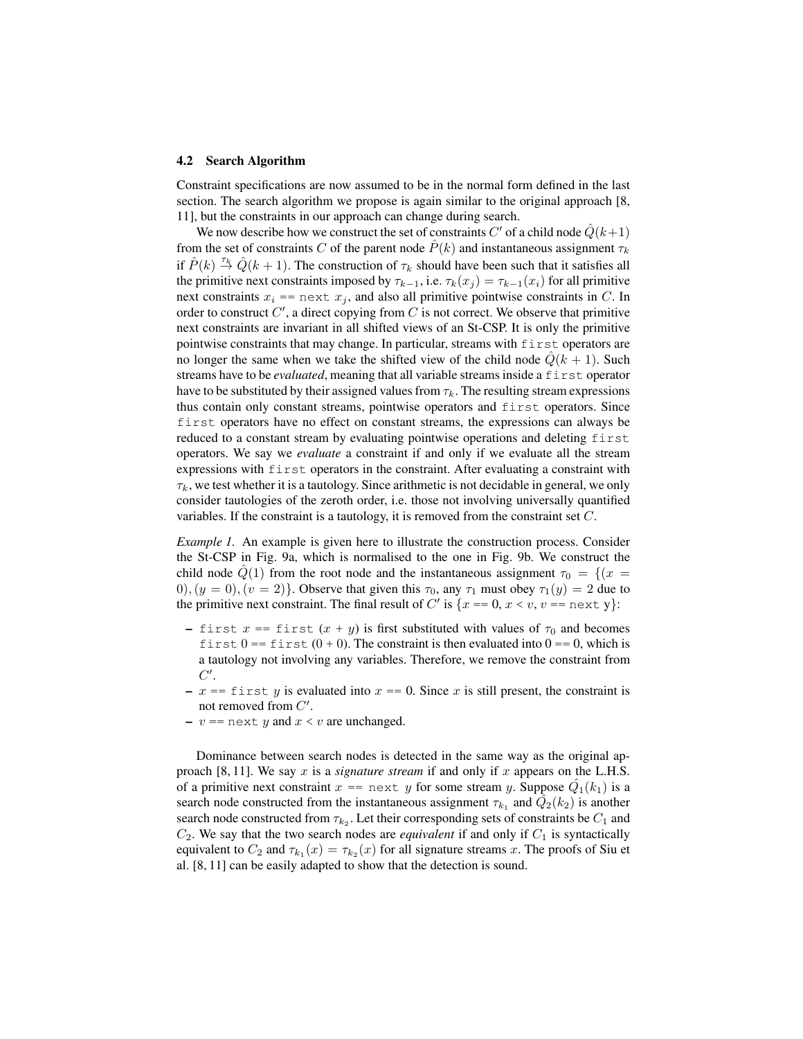#### 4.2 Search Algorithm

Constraint specifications are now assumed to be in the normal form defined in the last section. The search algorithm we propose is again similar to the original approach [8, 11], but the constraints in our approach can change during search.

We now describe how we construct the set of constraints C' of a child node  $\hat{Q}(k+1)$ from the set of constraints C of the parent node  $\hat{P}(k)$  and instantaneous assignment  $\tau_k$ if  $\hat{P}(k) \stackrel{\tau_k}{\rightarrow} \hat{Q}(k+1)$ . The construction of  $\tau_k$  should have been such that it satisfies all the primitive next constraints imposed by  $\tau_{k-1}$ , i.e.  $\tau_k(x_j) = \tau_{k-1}(x_i)$  for all primitive next constraints  $x_i$  == next  $x_i$ , and also all primitive pointwise constraints in C. In order to construct  $C'$ , a direct copying from  $C$  is not correct. We observe that primitive next constraints are invariant in all shifted views of an St-CSP. It is only the primitive pointwise constraints that may change. In particular, streams with first operators are no longer the same when we take the shifted view of the child node  $Q(k + 1)$ . Such streams have to be *evaluated*, meaning that all variable streams inside a first operator have to be substituted by their assigned values from  $\tau_k$ . The resulting stream expressions thus contain only constant streams, pointwise operators and first operators. Since first operators have no effect on constant streams, the expressions can always be reduced to a constant stream by evaluating pointwise operations and deleting first operators. We say we *evaluate* a constraint if and only if we evaluate all the stream expressions with first operators in the constraint. After evaluating a constraint with  $\tau_k$ , we test whether it is a tautology. Since arithmetic is not decidable in general, we only consider tautologies of the zeroth order, i.e. those not involving universally quantified variables. If the constraint is a tautology, it is removed from the constraint set C.

*Example 1.* An example is given here to illustrate the construction process. Consider the St-CSP in Fig. 9a, which is normalised to the one in Fig. 9b. We construct the child node  $\hat{Q}(1)$  from the root node and the instantaneous assignment  $\tau_0 = \{(x =$  $(0), (y = 0), (v = 2)$ . Observe that given this  $\tau_0$ , any  $\tau_1$  must obey  $\tau_1(y) = 2$  due to the primitive next constraint. The final result of C' is  $\{x = 0, x \le v, v = \text{next y}\}\$ :

- first  $x =$  first  $(x + y)$  is first substituted with values of  $\tau_0$  and becomes first  $0 =$  first  $(0 + 0)$ . The constraint is then evaluated into  $0 =$  = 0, which is a tautology not involving any variables. Therefore, we remove the constraint from  $C'.$
- $x =$  first y is evaluated into  $x = 0$ . Since x is still present, the constraint is not removed from  $C'$ .
- $v =$  next y and  $x < v$  are unchanged.

Dominance between search nodes is detected in the same way as the original approach [8, 11]. We say x is a *signature stream* if and only if x appears on the L.H.S. of a primitive next constraint  $x =$  next y for some stream y. Suppose  $\hat{Q}_1(k_1)$  is a search node constructed from the instantaneous assignment  $\tau_{k_1}$  and  $\hat{Q}_2(k_2)$  is another search node constructed from  $\tau_{k_2}$ . Let their corresponding sets of constraints be  $C_1$  and  $C_2$ . We say that the two search nodes are *equivalent* if and only if  $C_1$  is syntactically equivalent to  $C_2$  and  $\tau_{k_1}(x) = \tau_{k_2}(x)$  for all signature streams x. The proofs of Siu et al. [8, 11] can be easily adapted to show that the detection is sound.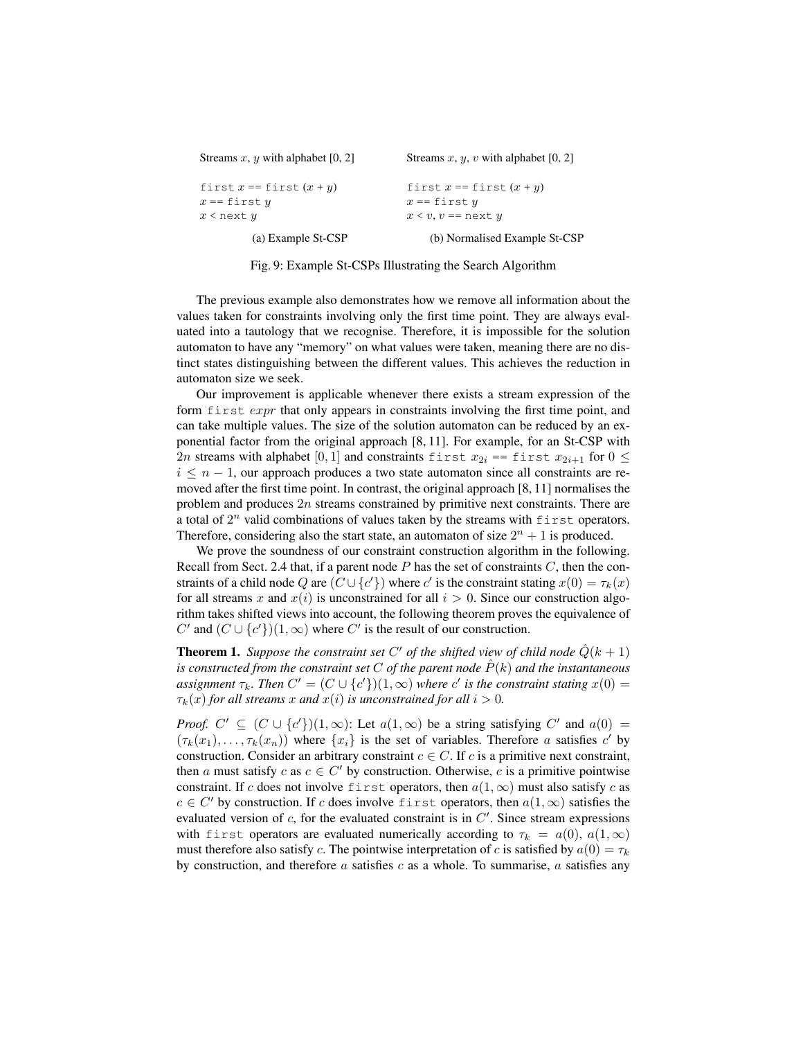| Streams x, y with alphabet [0, 2] | Streams x, y, v with alphabet [0, 2] |
|-----------------------------------|--------------------------------------|
| first $x ==$ first $(x + y)$      | first $x ==$ first $(x + y)$         |
| $x ==$ first $y$                  | $x ==$ first $y$                     |
| $x <$ next $y$                    | $x < v, v ==$ next $y$               |
| (a) Example St-CSP                | (b) Normalised Example St-CSP        |

Fig. 9: Example St-CSPs Illustrating the Search Algorithm

The previous example also demonstrates how we remove all information about the values taken for constraints involving only the first time point. They are always evaluated into a tautology that we recognise. Therefore, it is impossible for the solution automaton to have any "memory" on what values were taken, meaning there are no distinct states distinguishing between the different values. This achieves the reduction in automaton size we seek.

Our improvement is applicable whenever there exists a stream expression of the form first expr that only appears in constraints involving the first time point, and can take multiple values. The size of the solution automaton can be reduced by an exponential factor from the original approach [8, 11]. For example, for an St-CSP with 2n streams with alphabet [0,1] and constraints first  $x_{2i} =$  first  $x_{2i+1}$  for  $0 \leq$  $i \leq n-1$ , our approach produces a two state automaton since all constraints are removed after the first time point. In contrast, the original approach [8, 11] normalises the problem and produces 2n streams constrained by primitive next constraints. There are a total of  $2^n$  valid combinations of values taken by the streams with  $first$  operators. Therefore, considering also the start state, an automaton of size  $2^n + 1$  is produced.

We prove the soundness of our constraint construction algorithm in the following. Recall from Sect. 2.4 that, if a parent node  $P$  has the set of constraints  $C$ , then the constraints of a child node Q are  $(C \cup \{c'\})$  where  $c'$  is the constraint stating  $x(0) = \tau_k(x)$ for all streams x and  $x(i)$  is unconstrained for all  $i > 0$ . Since our construction algorithm takes shifted views into account, the following theorem proves the equivalence of C' and  $(C \cup \{c'\})(1, \infty)$  where C' is the result of our construction.

**Theorem 1.** Suppose the constraint set C' of the shifted view of child node  $\hat{Q}(k+1)$ *is constructed from the constraint set* C *of the parent node*  $\hat{P}(k)$  *and the instantaneous assignment*  $\tau_k$ *. Then*  $C' = (C \cup \{c'\})(1, \infty)$  *where*  $c'$  *is the constraint stating*  $x(0) =$  $\tau_k(x)$  *for all streams* x *and*  $x(i)$  *is unconstrained for all*  $i > 0$ *.* 

*Proof.*  $C' \subseteq (C \cup \{c'\})(1,\infty)$ : Let  $a(1,\infty)$  be a string satisfying  $C'$  and  $a(0)$  =  $(\tau_k(x_1), \ldots, \tau_k(x_n))$  where  $\{x_i\}$  is the set of variables. Therefore a satisfies c' by construction. Consider an arbitrary constraint  $c \in C$ . If c is a primitive next constraint, then a must satisfy c as  $c \in C'$  by construction. Otherwise, c is a primitive pointwise constraint. If c does not involve first operators, then  $a(1,\infty)$  must also satisfy c as  $c \in C'$  by construction. If c does involve first operators, then  $a(1,\infty)$  satisfies the evaluated version of  $c$ , for the evaluated constraint is in  $C'$ . Since stream expressions with first operators are evaluated numerically according to  $\tau_k = a(0), a(1, \infty)$ must therefore also satisfy c. The pointwise interpretation of c is satisfied by  $a(0) = \tau_k$ by construction, and therefore  $a$  satisfies  $c$  as a whole. To summarise,  $a$  satisfies any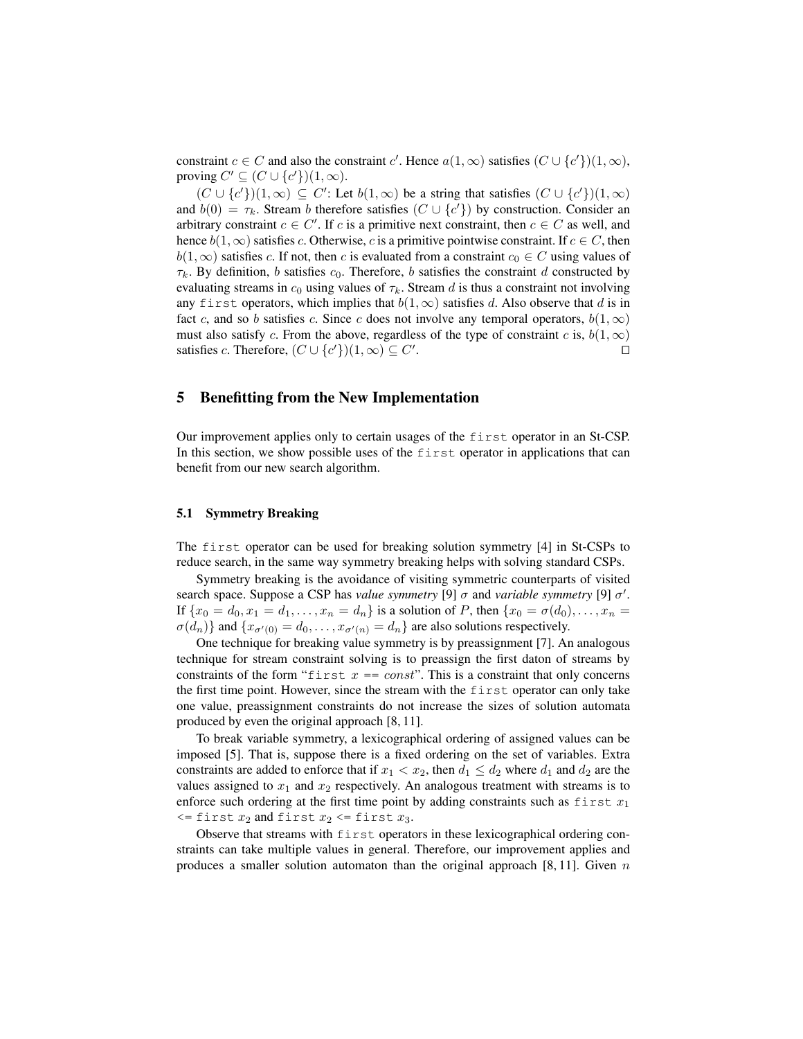constraint  $c \in C$  and also the constraint  $c'$ . Hence  $a(1,\infty)$  satisfies  $(C \cup \{c'\})(1,\infty)$ , proving  $C' \subseteq (C \cup \{c'\})(1,\infty)$ .

 $(C \cup \{c'\}) (1, \infty) \subseteq C'$ : Let  $b(1, \infty)$  be a string that satisfies  $(C \cup \{c'\}) (1, \infty)$ and  $b(0) = \tau_k$ . Stream *b* therefore satisfies  $(C \cup \{c'\})$  by construction. Consider an arbitrary constraint  $c \in C'$ . If c is a primitive next constraint, then  $c \in C$  as well, and hence  $b(1,\infty)$  satisfies c. Otherwise, c is a primitive pointwise constraint. If  $c \in C$ , then  $b(1,\infty)$  satisfies c. If not, then c is evaluated from a constraint  $c_0 \in C$  using values of  $\tau_k$ . By definition, b satisfies  $c_0$ . Therefore, b satisfies the constraint d constructed by evaluating streams in  $c_0$  using values of  $\tau_k$ . Stream d is thus a constraint not involving any first operators, which implies that  $b(1, \infty)$  satisfies d. Also observe that d is in fact c, and so b satisfies c. Since c does not involve any temporal operators,  $b(1,\infty)$ must also satisfy c. From the above, regardless of the type of constraint c is,  $b(1,\infty)$ satisfies c. Therefore,  $(C \cup \{c'\})(1,\infty) \subseteq C'$ . The contract of the contract  $\Box$ 

## 5 Benefitting from the New Implementation

Our improvement applies only to certain usages of the first operator in an St-CSP. In this section, we show possible uses of the first operator in applications that can benefit from our new search algorithm.

#### 5.1 Symmetry Breaking

The first operator can be used for breaking solution symmetry [4] in St-CSPs to reduce search, in the same way symmetry breaking helps with solving standard CSPs.

Symmetry breaking is the avoidance of visiting symmetric counterparts of visited search space. Suppose a CSP has *value symmetry* [9]  $\sigma$  and *variable symmetry* [9]  $\sigma'$ . If  ${x_0 = d_0, x_1 = d_1, \ldots, x_n = d_n}$  is a solution of P, then  ${x_0 = \sigma(d_0), \ldots, x_n = d_n}$  $\sigma(d_n)$ } and  $\{x_{\sigma'(0)} = d_0, \ldots, x_{\sigma'(n)} = d_n\}$  are also solutions respectively.

One technique for breaking value symmetry is by preassignment [7]. An analogous technique for stream constraint solving is to preassign the first daton of streams by constraints of the form "first  $x == const$ ". This is a constraint that only concerns the first time point. However, since the stream with the first operator can only take one value, preassignment constraints do not increase the sizes of solution automata produced by even the original approach [8, 11].

To break variable symmetry, a lexicographical ordering of assigned values can be imposed [5]. That is, suppose there is a fixed ordering on the set of variables. Extra constraints are added to enforce that if  $x_1 < x_2$ , then  $d_1 \leq d_2$  where  $d_1$  and  $d_2$  are the values assigned to  $x_1$  and  $x_2$  respectively. An analogous treatment with streams is to enforce such ordering at the first time point by adding constraints such as  $first x_1$  $\leq$  first  $x_2$  and first  $x_2 \leq$  first  $x_3$ .

Observe that streams with first operators in these lexicographical ordering constraints can take multiple values in general. Therefore, our improvement applies and produces a smaller solution automaton than the original approach  $[8, 11]$ . Given n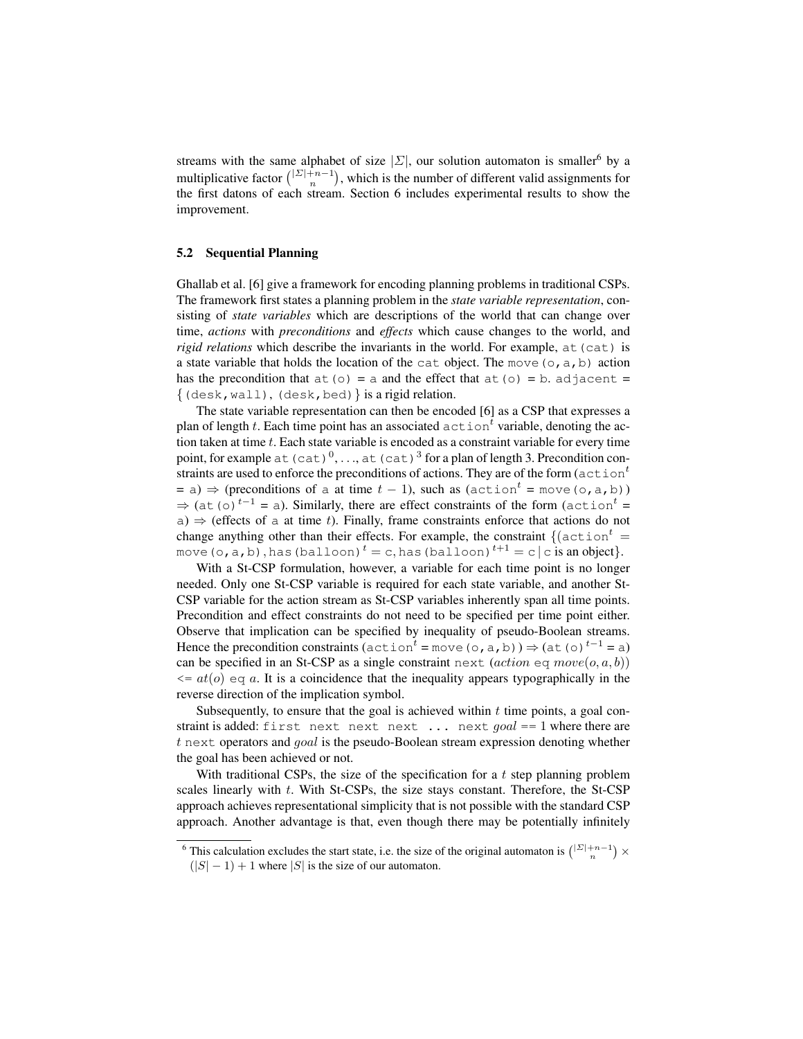streams with the same alphabet of size  $|\Sigma|$ , our solution automaton is smaller<sup>6</sup> by a multiplicative factor  $\binom{|\mathcal{L}|+n-1}{n}$ , which is the number of different valid assignments for the first datons of each stream. Section 6 includes experimental results to show the improvement.

#### 5.2 Sequential Planning

Ghallab et al. [6] give a framework for encoding planning problems in traditional CSPs. The framework first states a planning problem in the *state variable representation*, consisting of *state variables* which are descriptions of the world that can change over time, *actions* with *preconditions* and *effects* which cause changes to the world, and *rigid relations* which describe the invariants in the world. For example, at (cat) is a state variable that holds the location of the cat object. The move ( $\circ$ ,  $\circ$ ,  $\circ$ ) action has the precondition that  $at(o) = a$  and the effect that  $at(o) = b$ . adjacent =  $\{$  (desk, wall), (desk, bed) is a rigid relation.

The state variable representation can then be encoded [6] as a CSP that expresses a plan of length t. Each time point has an associated  $\arctan^t$  variable, denoting the action taken at time  $t$ . Each state variable is encoded as a constraint variable for every time point, for example at (cat)<sup>0</sup>,..., at (cat)<sup>3</sup> for a plan of length 3. Precondition constraints are used to enforce the preconditions of actions. They are of the form ( $\arctan$ <sup>t</sup>  $= a$ )  $\Rightarrow$  (preconditions of a at time  $t - 1$ ), such as (action<sup>t</sup> = move(o,a,b))  $\Rightarrow$  (at (o)<sup>t−1</sup> = a). Similarly, there are effect constraints of the form (action<sup>t</sup> = a)  $\Rightarrow$  (effects of a at time t). Finally, frame constraints enforce that actions do not change anything other than their effects. For example, the constraint  $\{(\text{action}^t =$ move (o, a, b), has (balloon)<sup>t</sup> = c, has (balloon)<sup>t+1</sup> = c | c is an object}.

With a St-CSP formulation, however, a variable for each time point is no longer needed. Only one St-CSP variable is required for each state variable, and another St-CSP variable for the action stream as St-CSP variables inherently span all time points. Precondition and effect constraints do not need to be specified per time point either. Observe that implication can be specified by inequality of pseudo-Boolean streams. Hence the precondition constraints (action<sup>t</sup> = move (o, a, b))  $\Rightarrow$  (at (o)<sup>t-1</sup> = a) can be specified in an St-CSP as a single constraint next  $(action \eqcirc q move(o, a, b))$  $\leq$  at(o) eq a. It is a coincidence that the inequality appears typographically in the reverse direction of the implication symbol.

Subsequently, to ensure that the goal is achieved within  $t$  time points, a goal constraint is added: first next next next ... next  $goal == 1$  where there are  $t$  next operators and  $goal$  is the pseudo-Boolean stream expression denoting whether the goal has been achieved or not.

With traditional CSPs, the size of the specification for a  $t$  step planning problem scales linearly with  $t$ . With St-CSPs, the size stays constant. Therefore, the St-CSP approach achieves representational simplicity that is not possible with the standard CSP approach. Another advantage is that, even though there may be potentially infinitely

<sup>&</sup>lt;sup>6</sup> This calculation excludes the start state, i.e. the size of the original automaton is  $\binom{|Z|+n-1}{n} \times$  $(|S| - 1) + 1$  where  $|S|$  is the size of our automaton.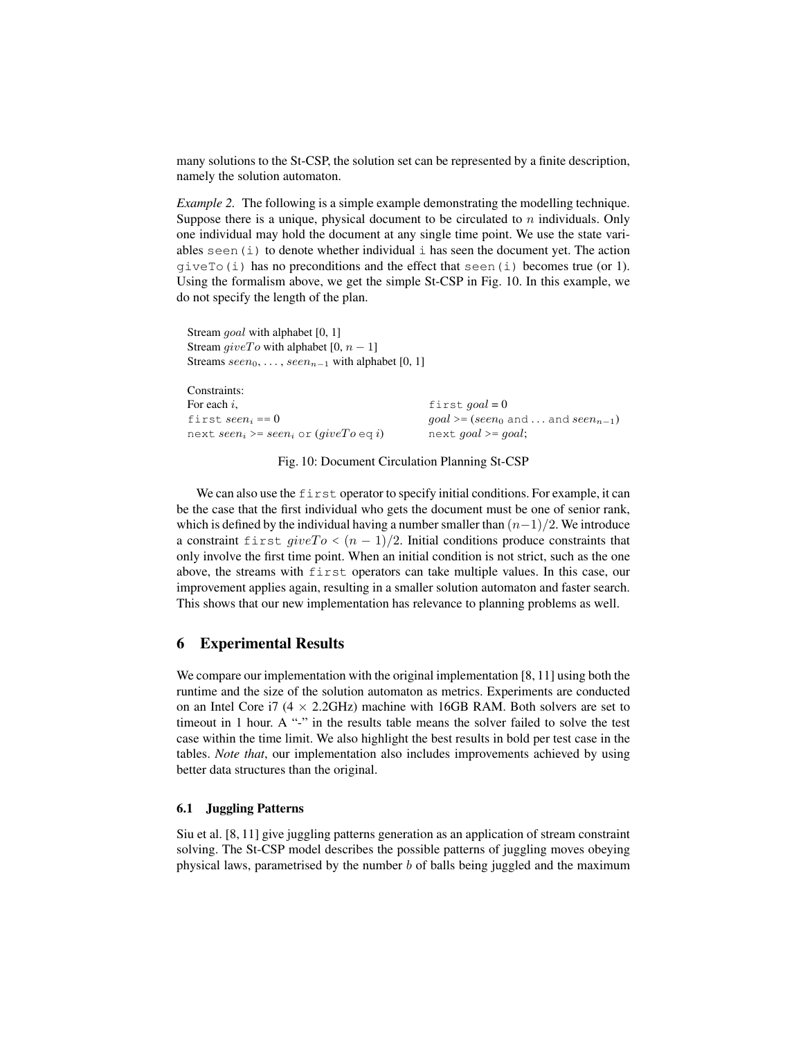many solutions to the St-CSP, the solution set can be represented by a finite description, namely the solution automaton.

*Example 2.* The following is a simple example demonstrating the modelling technique. Suppose there is a unique, physical document to be circulated to  $n$  individuals. Only one individual may hold the document at any single time point. We use the state variables seen (i) to denote whether individual  $\pm$  has seen the document yet. The action  $q$ iveTo(i) has no preconditions and the effect that seen(i) becomes true (or 1). Using the formalism above, we get the simple St-CSP in Fig. 10. In this example, we do not specify the length of the plan.

Stream *qoal* with alphabet [0, 1] Stream  $give To$  with alphabet [0,  $n - 1$ ] Streams  $seen_0, \ldots, seen_{n-1}$  with alphabet [0, 1]

| Constraints:                                 |                                                            |
|----------------------------------------------|------------------------------------------------------------|
| For each $i$ ,                               | first $qoa l = 0$                                          |
| first $seen_i == 0$                          | $qoal \geq (seen_0 \text{ and }  \text{ and } seen_{n-1})$ |
| next $seen_i$ >= $seen_i$ or $(giveTo$ eq i) | $next goal >= goal;$                                       |

Fig. 10: Document Circulation Planning St-CSP

We can also use the first operator to specify initial conditions. For example, it can be the case that the first individual who gets the document must be one of senior rank, which is defined by the individual having a number smaller than  $(n-1)/2$ . We introduce a constraint first  $giveTo < (n - 1)/2$ . Initial conditions produce constraints that only involve the first time point. When an initial condition is not strict, such as the one above, the streams with first operators can take multiple values. In this case, our improvement applies again, resulting in a smaller solution automaton and faster search. This shows that our new implementation has relevance to planning problems as well.

## 6 Experimental Results

We compare our implementation with the original implementation [8, 11] using both the runtime and the size of the solution automaton as metrics. Experiments are conducted on an Intel Core i7 ( $4 \times 2.2$ GHz) machine with 16GB RAM. Both solvers are set to timeout in 1 hour. A "-" in the results table means the solver failed to solve the test case within the time limit. We also highlight the best results in bold per test case in the tables. *Note that*, our implementation also includes improvements achieved by using better data structures than the original.

#### 6.1 Juggling Patterns

Siu et al. [8, 11] give juggling patterns generation as an application of stream constraint solving. The St-CSP model describes the possible patterns of juggling moves obeying physical laws, parametrised by the number  $b$  of balls being juggled and the maximum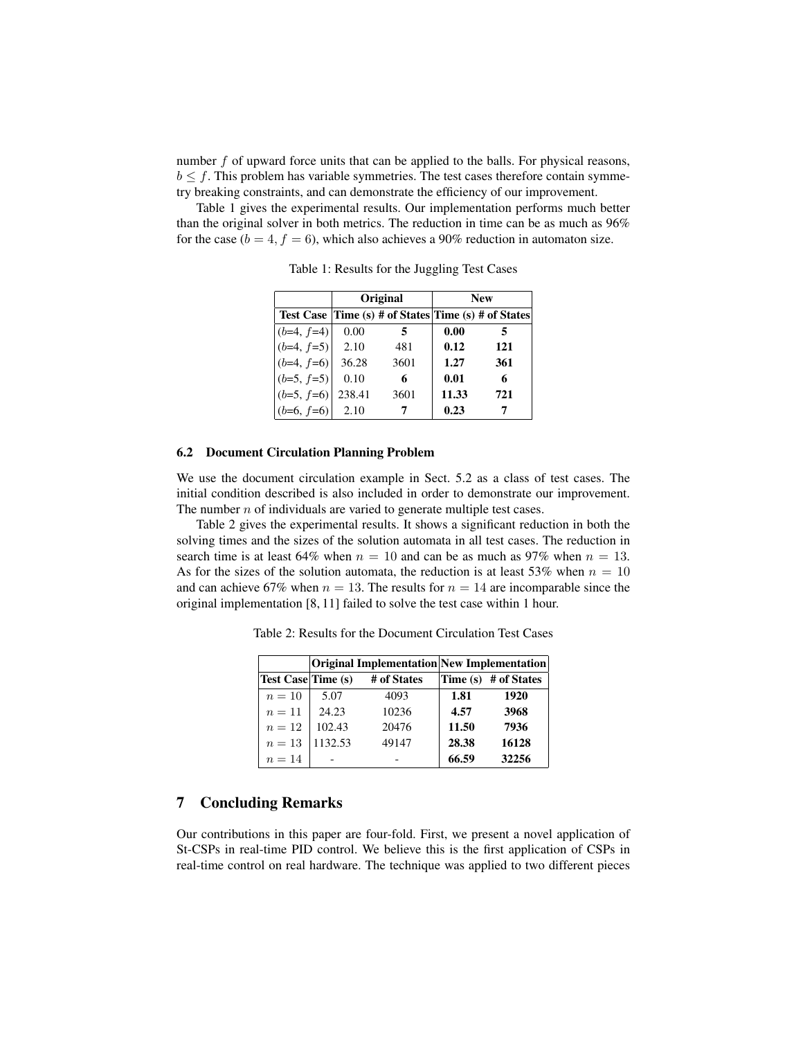number f of upward force units that can be applied to the balls. For physical reasons,  $b \leq f$ . This problem has variable symmetries. The test cases therefore contain symmetry breaking constraints, and can demonstrate the efficiency of our improvement.

Table 1 gives the experimental results. Our implementation performs much better than the original solver in both metrics. The reduction in time can be as much as 96% for the case ( $b = 4, f = 6$ ), which also achieves a 90% reduction in automaton size.

|              | Original |                                                     | <b>New</b> |     |
|--------------|----------|-----------------------------------------------------|------------|-----|
|              |          | Test Case Time (s) # of States Time (s) # of States |            |     |
| $(b=4, f=4)$ | 0.00     | 5                                                   | 0.00       | 5   |
| $(b=4, f=5)$ | 2.10     | 481                                                 | 0.12       | 121 |
| $(b=4, f=6)$ | 36.28    | 3601                                                | 1.27       | 361 |
| $(b=5, f=5)$ | 0.10     | 6                                                   | 0.01       | 6   |
| $(b=5, f=6)$ | 238.41   | 3601                                                | 11.33      | 721 |
| $(b=6, f=6)$ | 2.10     |                                                     | 0.23       |     |

Table 1: Results for the Juggling Test Cases

#### 6.2 Document Circulation Planning Problem

We use the document circulation example in Sect. 5.2 as a class of test cases. The initial condition described is also included in order to demonstrate our improvement. The number  $n$  of individuals are varied to generate multiple test cases.

Table 2 gives the experimental results. It shows a significant reduction in both the solving times and the sizes of the solution automata in all test cases. The reduction in search time is at least 64% when  $n = 10$  and can be as much as 97% when  $n = 13$ . As for the sizes of the solution automata, the reduction is at least 53% when  $n = 10$ and can achieve 67% when  $n = 13$ . The results for  $n = 14$  are incomparable since the original implementation [8, 11] failed to solve the test case within 1 hour.

|                    | <b>Original Implementation New Implementation</b> |             |       |                        |
|--------------------|---------------------------------------------------|-------------|-------|------------------------|
| Test Case Time (s) |                                                   | # of States |       | Time $(s)$ # of States |
| $n=10$             | 5.07                                              | 4093        | 1.81  | 1920                   |
| $n=11$             | 24.23                                             | 10236       | 4.57  | 3968                   |
| $n=12$             | 102.43                                            | 20476       | 11.50 | 7936                   |
| $n=13$             | 1132.53                                           | 49147       | 28.38 | 16128                  |
| $n=14$             |                                                   |             | 66.59 | 32256                  |

Table 2: Results for the Document Circulation Test Cases

# 7 Concluding Remarks

Our contributions in this paper are four-fold. First, we present a novel application of St-CSPs in real-time PID control. We believe this is the first application of CSPs in real-time control on real hardware. The technique was applied to two different pieces